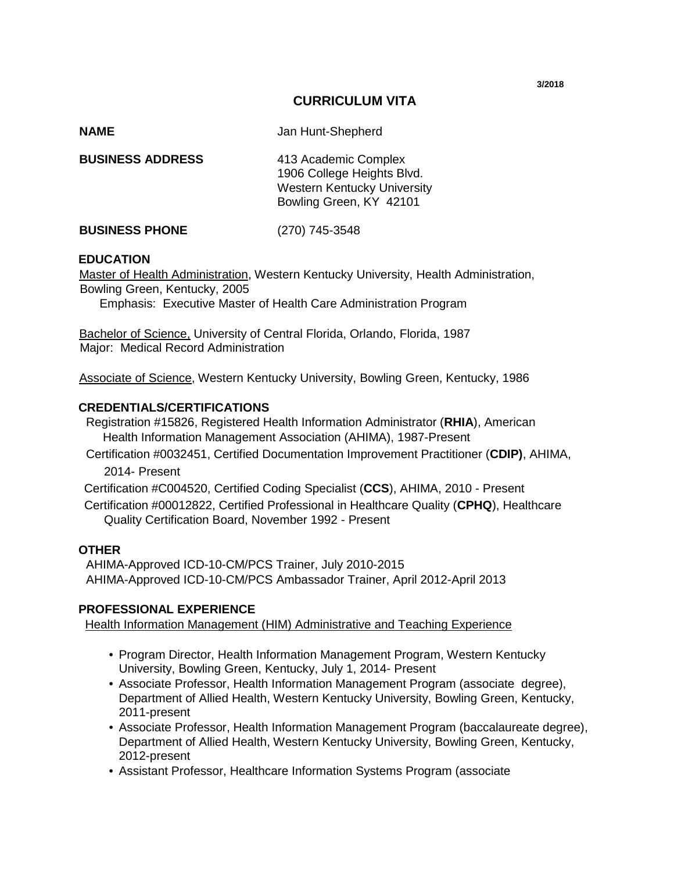**3/2018**

## **CURRICULUM VITA**

| <b>NAME</b>             | Jan Hunt-Shepherd                                                                                                   |
|-------------------------|---------------------------------------------------------------------------------------------------------------------|
| <b>BUSINESS ADDRESS</b> | 413 Academic Complex<br>1906 College Heights Blvd.<br><b>Western Kentucky University</b><br>Bowling Green, KY 42101 |
| <b>BUSINESS PHONE</b>   | (270) 745-3548                                                                                                      |

### **EDUCATION**

Master of Health Administration, Western Kentucky University, Health Administration, Bowling Green, Kentucky, 2005

Emphasis: Executive Master of Health Care Administration Program

Bachelor of Science, University of Central Florida, Orlando, Florida, 1987 Major: Medical Record Administration

Associate of Science, Western Kentucky University, Bowling Green, Kentucky, 1986

### **CREDENTIALS/CERTIFICATIONS**

 Registration #15826, Registered Health Information Administrator (**RHIA**), American Health Information Management Association (AHIMA), 1987-Present

 Certification #0032451, Certified Documentation Improvement Practitioner (**CDIP)**, AHIMA, 2014- Present

Certification #C004520, Certified Coding Specialist (**CCS**), AHIMA, 2010 - Present

Certification #00012822, Certified Professional in Healthcare Quality (**CPHQ**), Healthcare Quality Certification Board, November 1992 - Present

#### **OTHER**

 AHIMA-Approved ICD-10-CM/PCS Trainer, July 2010-2015 AHIMA-Approved ICD-10-CM/PCS Ambassador Trainer, April 2012-April 2013

### **PROFESSIONAL EXPERIENCE**

Health Information Management (HIM) Administrative and Teaching Experience

- Program Director, Health Information Management Program, Western Kentucky University, Bowling Green, Kentucky, July 1, 2014- Present
- Associate Professor, Health Information Management Program (associate degree), Department of Allied Health, Western Kentucky University, Bowling Green, Kentucky, 2011-present
- Associate Professor, Health Information Management Program (baccalaureate degree), Department of Allied Health, Western Kentucky University, Bowling Green, Kentucky, 2012-present
- Assistant Professor, Healthcare Information Systems Program (associate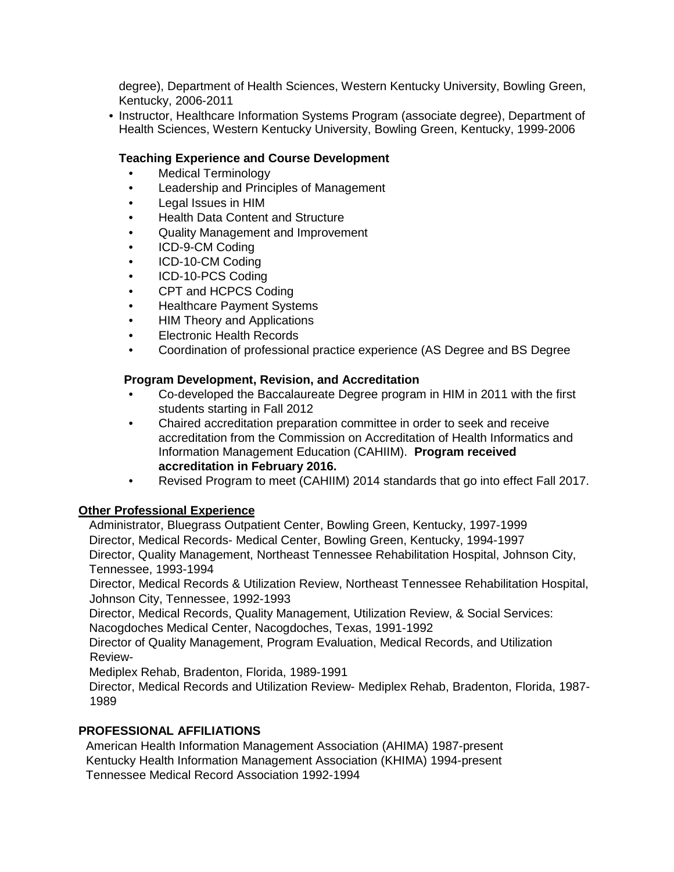degree), Department of Health Sciences, Western Kentucky University, Bowling Green, Kentucky, 2006-2011

• Instructor, Healthcare Information Systems Program (associate degree), Department of Health Sciences, Western Kentucky University, Bowling Green, Kentucky, 1999-2006

## **Teaching Experience and Course Development**

- Medical Terminology
- Leadership and Principles of Management
- Legal Issues in HIM
- Health Data Content and Structure
- Quality Management and Improvement
- ICD-9-CM Coding
- ICD-10-CM Coding
- ICD-10-PCS Coding
- CPT and HCPCS Coding
- Healthcare Payment Systems
- HIM Theory and Applications
- Electronic Health Records
- Coordination of professional practice experience (AS Degree and BS Degree

## **Program Development, Revision, and Accreditation**

- Co-developed the Baccalaureate Degree program in HIM in 2011 with the first students starting in Fall 2012
- Chaired accreditation preparation committee in order to seek and receive accreditation from the Commission on Accreditation of Health Informatics and Information Management Education (CAHIIM). **Program received accreditation in February 2016.**
- Revised Program to meet (CAHIIM) 2014 standards that go into effect Fall 2017.

## **Other Professional Experience**

Administrator, Bluegrass Outpatient Center, Bowling Green, Kentucky, 1997-1999 Director, Medical Records- Medical Center, Bowling Green, Kentucky, 1994-1997 Director, Quality Management, Northeast Tennessee Rehabilitation Hospital, Johnson City, Tennessee, 1993-1994

 Director, Medical Records & Utilization Review, Northeast Tennessee Rehabilitation Hospital, Johnson City, Tennessee, 1992-1993

Director, Medical Records, Quality Management, Utilization Review, & Social Services: Nacogdoches Medical Center, Nacogdoches, Texas, 1991-1992

Director of Quality Management, Program Evaluation, Medical Records, and Utilization Review-

Mediplex Rehab, Bradenton, Florida, 1989-1991

Director, Medical Records and Utilization Review- Mediplex Rehab, Bradenton, Florida, 1987- 1989

## **PROFESSIONAL AFFILIATIONS**

American Health Information Management Association (AHIMA) 1987-present Kentucky Health Information Management Association (KHIMA) 1994-present Tennessee Medical Record Association 1992-1994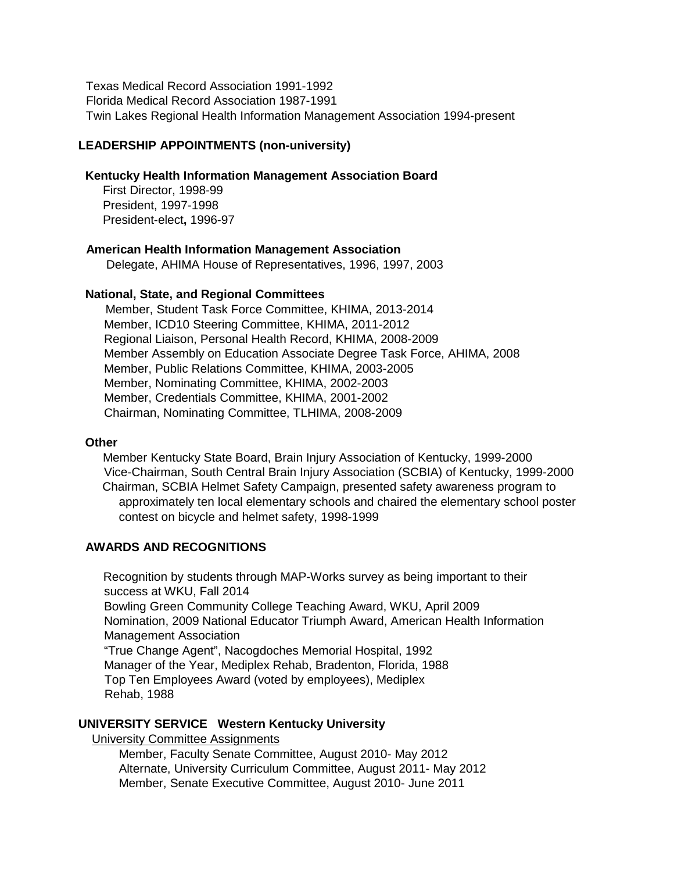Texas Medical Record Association 1991-1992 Florida Medical Record Association 1987-1991 Twin Lakes Regional Health Information Management Association 1994-present

### **LEADERSHIP APPOINTMENTS (non-university)**

### **Kentucky Health Information Management Association Board**

First Director, 1998-99 President, 1997-1998 President-elect**,** 1996-97

### **American Health Information Management Association**

Delegate, AHIMA House of Representatives, 1996, 1997, 2003

#### **National, State, and Regional Committees**

 Member, Student Task Force Committee, KHIMA, 2013-2014 Member, ICD10 Steering Committee, KHIMA, 2011-2012 Regional Liaison, Personal Health Record, KHIMA, 2008-2009 Member Assembly on Education Associate Degree Task Force, AHIMA, 2008 Member, Public Relations Committee, KHIMA, 2003-2005 Member, Nominating Committee, KHIMA, 2002-2003 Member, Credentials Committee, KHIMA, 2001-2002 Chairman, Nominating Committee, TLHIMA, 2008-2009

### **Other**

 Member Kentucky State Board, Brain Injury Association of Kentucky, 1999-2000 Vice-Chairman, South Central Brain Injury Association (SCBIA) of Kentucky, 1999-2000 Chairman, SCBIA Helmet Safety Campaign, presented safety awareness program to approximately ten local elementary schools and chaired the elementary school poster contest on bicycle and helmet safety, 1998-1999

### **AWARDS AND RECOGNITIONS**

Recognition by students through MAP-Works survey as being important to their success at WKU, Fall 2014 Bowling Green Community College Teaching Award, WKU, April 2009 Nomination, 2009 National Educator Triumph Award, American Health Information Management Association "True Change Agent", Nacogdoches Memorial Hospital, 1992 Manager of the Year, Mediplex Rehab, Bradenton, Florida, 1988 Top Ten Employees Award (voted by employees), Mediplex Rehab, 1988

### **UNIVERSITY SERVICE Western Kentucky University**

University Committee Assignments

Member, Faculty Senate Committee, August 2010- May 2012 Alternate, University Curriculum Committee, August 2011- May 2012 Member, Senate Executive Committee, August 2010- June 2011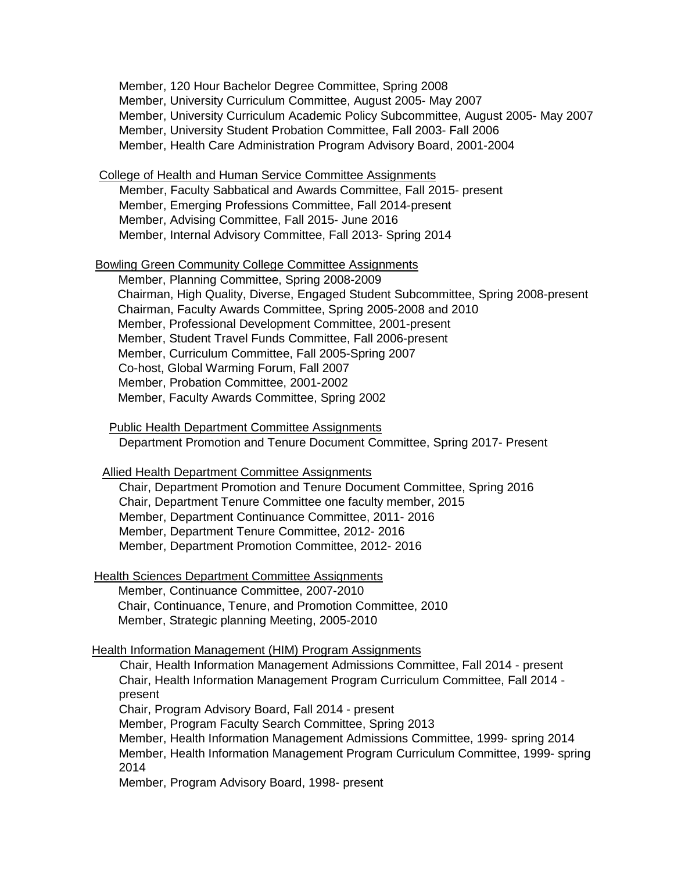Member, 120 Hour Bachelor Degree Committee, Spring 2008 Member, University Curriculum Committee, August 2005- May 2007 Member, University Curriculum Academic Policy Subcommittee, August 2005- May 2007 Member, University Student Probation Committee, Fall 2003- Fall 2006 Member, Health Care Administration Program Advisory Board, 2001-2004

### College of Health and Human Service Committee Assignments

 Member, Faculty Sabbatical and Awards Committee, Fall 2015- present Member, Emerging Professions Committee, Fall 2014-present Member, Advising Committee, Fall 2015- June 2016 Member, Internal Advisory Committee, Fall 2013- Spring 2014

### Bowling Green Community College Committee Assignments

 Member, Planning Committee, Spring 2008-2009 Chairman, High Quality, Diverse, Engaged Student Subcommittee, Spring 2008-present Chairman, Faculty Awards Committee, Spring 2005-2008 and 2010 Member, Professional Development Committee, 2001-present Member, Student Travel Funds Committee, Fall 2006-present Member, Curriculum Committee, Fall 2005-Spring 2007 Co-host, Global Warming Forum, Fall 2007 Member, Probation Committee, 2001-2002 Member, Faculty Awards Committee, Spring 2002

Public Health Department Committee Assignments

Department Promotion and Tenure Document Committee, Spring 2017- Present

Allied Health Department Committee Assignments

Chair, Department Promotion and Tenure Document Committee, Spring 2016 Chair, Department Tenure Committee one faculty member, 2015 Member, Department Continuance Committee, 2011- 2016 Member, Department Tenure Committee, 2012- 2016 Member, Department Promotion Committee, 2012- 2016

Health Sciences Department Committee Assignments

Member, Continuance Committee, 2007-2010 Chair, Continuance, Tenure, and Promotion Committee, 2010 Member, Strategic planning Meeting, 2005-2010

### Health Information Management (HIM) Program Assignments

 Chair, Health Information Management Admissions Committee, Fall 2014 - present Chair, Health Information Management Program Curriculum Committee, Fall 2014 present

Chair, Program Advisory Board, Fall 2014 - present

Member, Program Faculty Search Committee, Spring 2013

Member, Health Information Management Admissions Committee, 1999- spring 2014 Member, Health Information Management Program Curriculum Committee, 1999- spring 2014

Member, Program Advisory Board, 1998- present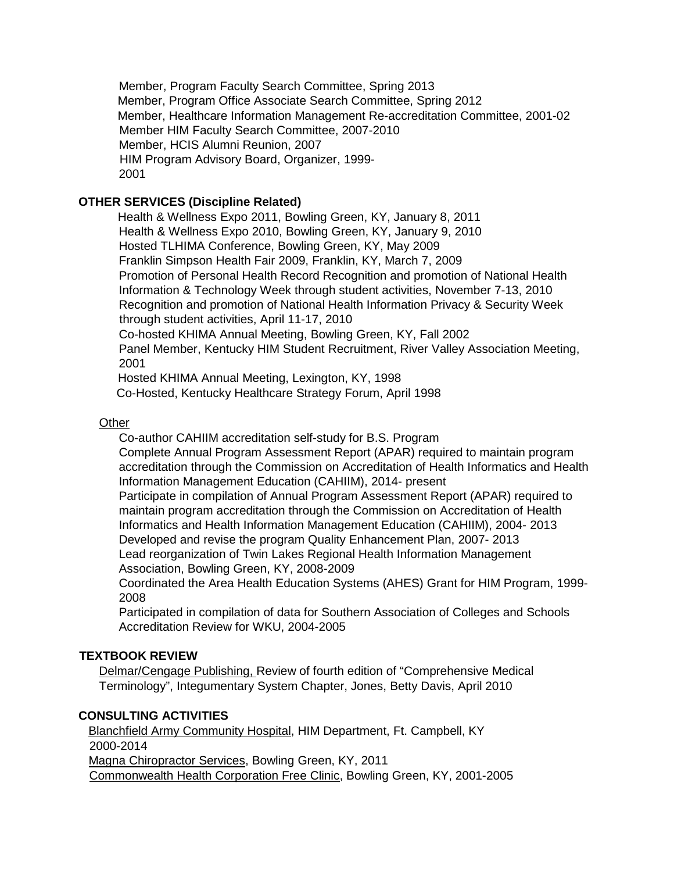Member, Program Faculty Search Committee, Spring 2013 Member, Program Office Associate Search Committee, Spring 2012 Member, Healthcare Information Management Re-accreditation Committee, 2001-02 Member HIM Faculty Search Committee, 2007-2010 Member, HCIS Alumni Reunion, 2007 HIM Program Advisory Board, Organizer, 1999- 2001

# **OTHER SERVICES (Discipline Related)**

 Health & Wellness Expo 2011, Bowling Green, KY, January 8, 2011 Health & Wellness Expo 2010, Bowling Green, KY, January 9, 2010 Hosted TLHIMA Conference, Bowling Green, KY, May 2009 Franklin Simpson Health Fair 2009, Franklin, KY, March 7, 2009 Promotion of Personal Health Record Recognition and promotion of National Health Information & Technology Week through student activities, November 7-13, 2010 Recognition and promotion of National Health Information Privacy & Security Week through student activities, April 11-17, 2010 Co-hosted KHIMA Annual Meeting, Bowling Green, KY, Fall 2002 Panel Member, Kentucky HIM Student Recruitment, River Valley Association Meeting, 2001

Hosted KHIMA Annual Meeting, Lexington, KY, 1998

Co-Hosted, Kentucky Healthcare Strategy Forum, April 1998

### **Other**

Co-author CAHIIM accreditation self-study for B.S. Program

Complete Annual Program Assessment Report (APAR) required to maintain program accreditation through the Commission on Accreditation of Health Informatics and Health Information Management Education (CAHIIM), 2014- present

Participate in compilation of Annual Program Assessment Report (APAR) required to maintain program accreditation through the Commission on Accreditation of Health Informatics and Health Information Management Education (CAHIIM), 2004- 2013 Developed and revise the program Quality Enhancement Plan, 2007- 2013

Lead reorganization of Twin Lakes Regional Health Information Management Association, Bowling Green, KY, 2008-2009

Coordinated the Area Health Education Systems (AHES) Grant for HIM Program, 1999- 2008

Participated in compilation of data for Southern Association of Colleges and Schools Accreditation Review for WKU, 2004-2005

## **TEXTBOOK REVIEW**

Delmar/Cengage Publishing, Review of fourth edition of "Comprehensive Medical Terminology", Integumentary System Chapter, Jones, Betty Davis, April 2010

## **CONSULTING ACTIVITIES**

Blanchfield Army Community Hospital, HIM Department, Ft. Campbell, KY 2000-2014 Magna Chiropractor Services, Bowling Green, KY, 2011 Commonwealth Health Corporation Free Clinic, Bowling Green, KY, 2001-2005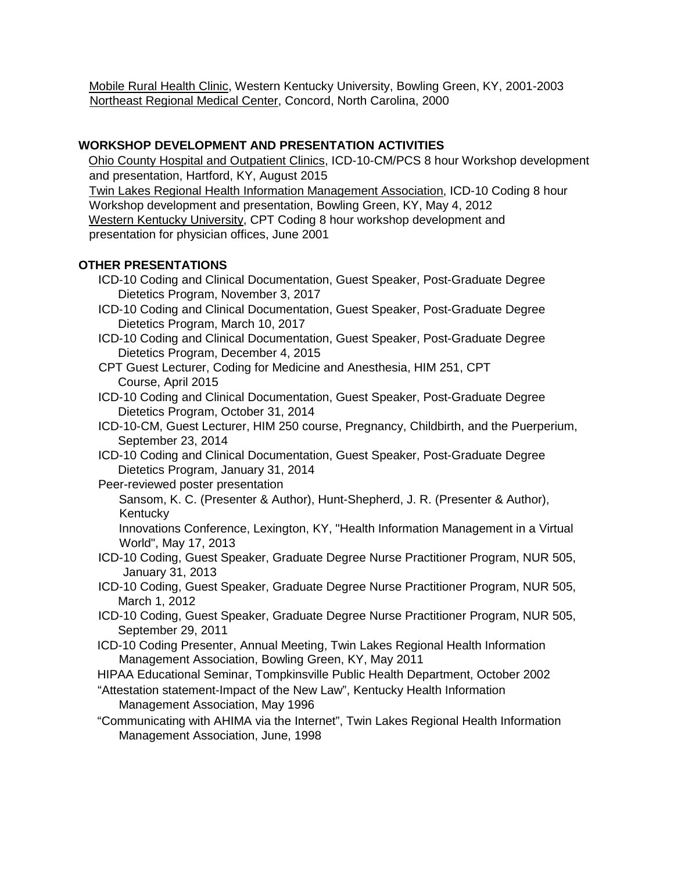Mobile Rural Health Clinic, Western Kentucky University, Bowling Green, KY, 2001-2003 Northeast Regional Medical Center, Concord, North Carolina, 2000

# **WORKSHOP DEVELOPMENT AND PRESENTATION ACTIVITIES**

Ohio County Hospital and Outpatient Clinics, ICD-10-CM/PCS 8 hour Workshop development and presentation, Hartford, KY, August 2015 Twin Lakes Regional Health Information Management Association, ICD-10 Coding 8 hour Workshop development and presentation, Bowling Green, KY, May 4, 2012 Western Kentucky University, CPT Coding 8 hour workshop development and presentation for physician offices, June 2001

# **OTHER PRESENTATIONS**

- ICD-10 Coding and Clinical Documentation, Guest Speaker, Post-Graduate Degree Dietetics Program, November 3, 2017
- ICD-10 Coding and Clinical Documentation, Guest Speaker, Post-Graduate Degree Dietetics Program, March 10, 2017
- ICD-10 Coding and Clinical Documentation, Guest Speaker, Post-Graduate Degree Dietetics Program, December 4, 2015
- CPT Guest Lecturer, Coding for Medicine and Anesthesia, HIM 251, CPT Course, April 2015
- ICD-10 Coding and Clinical Documentation, Guest Speaker, Post-Graduate Degree Dietetics Program, October 31, 2014
- ICD-10-CM, Guest Lecturer, HIM 250 course, Pregnancy, Childbirth, and the Puerperium, September 23, 2014
- ICD-10 Coding and Clinical Documentation, Guest Speaker, Post-Graduate Degree Dietetics Program, January 31, 2014
- Peer-reviewed poster presentation
	- Sansom, K. C. (Presenter & Author), Hunt-Shepherd, J. R. (Presenter & Author), Kentucky
	- Innovations Conference, Lexington, KY, "Health Information Management in a Virtual World", May 17, 2013
- ICD-10 Coding, Guest Speaker, Graduate Degree Nurse Practitioner Program, NUR 505, January 31, 2013
- ICD-10 Coding, Guest Speaker, Graduate Degree Nurse Practitioner Program, NUR 505, March 1, 2012
- ICD-10 Coding, Guest Speaker, Graduate Degree Nurse Practitioner Program, NUR 505, September 29, 2011
- ICD-10 Coding Presenter, Annual Meeting, Twin Lakes Regional Health Information Management Association, Bowling Green, KY, May 2011
- HIPAA Educational Seminar, Tompkinsville Public Health Department, October 2002
- "Attestation statement-Impact of the New Law", Kentucky Health Information Management Association, May 1996
- "Communicating with AHIMA via the Internet", Twin Lakes Regional Health Information Management Association, June, 1998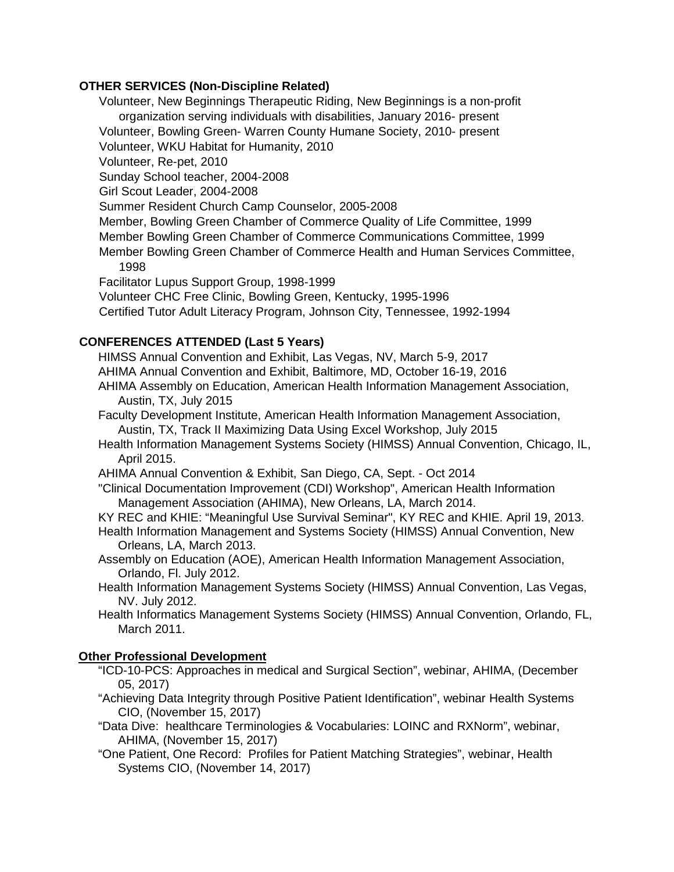## **OTHER SERVICES (Non-Discipline Related)**

Volunteer, New Beginnings Therapeutic Riding, New Beginnings is a non-profit organization serving individuals with disabilities, January 2016- present Volunteer, Bowling Green- Warren County Humane Society, 2010- present Volunteer, WKU Habitat for Humanity, 2010 Volunteer, Re-pet, 2010 Sunday School teacher, 2004-2008 Girl Scout Leader, 2004-2008 Summer Resident Church Camp Counselor, 2005-2008 Member, Bowling Green Chamber of Commerce Quality of Life Committee, 1999 Member Bowling Green Chamber of Commerce Communications Committee, 1999 Member Bowling Green Chamber of Commerce Health and Human Services Committee, 1998 Facilitator Lupus Support Group, 1998-1999 Volunteer CHC Free Clinic, Bowling Green, Kentucky, 1995-1996 Certified Tutor Adult Literacy Program, Johnson City, Tennessee, 1992-1994

## **CONFERENCES ATTENDED (Last 5 Years)**

HIMSS Annual Convention and Exhibit, Las Vegas, NV, March 5-9, 2017 AHIMA Annual Convention and Exhibit, Baltimore, MD, October 16-19, 2016 AHIMA Assembly on Education, American Health Information Management Association, Austin, TX, July 2015

Faculty Development Institute, American Health Information Management Association, Austin, TX, Track II Maximizing Data Using Excel Workshop, July 2015

Health Information Management Systems Society (HIMSS) Annual Convention, Chicago, IL, April 2015.

AHIMA Annual Convention & Exhibit, San Diego, CA, Sept. - Oct 2014

"Clinical Documentation Improvement (CDI) Workshop", American Health Information Management Association (AHIMA), New Orleans, LA, March 2014.

KY REC and KHIE: "Meaningful Use Survival Seminar", KY REC and KHIE. April 19, 2013.

Health Information Management and Systems Society (HIMSS) Annual Convention, New Orleans, LA, March 2013.

- Assembly on Education (AOE), American Health Information Management Association, Orlando, Fl. July 2012.
- Health Information Management Systems Society (HIMSS) Annual Convention, Las Vegas, NV. July 2012.

Health Informatics Management Systems Society (HIMSS) Annual Convention, Orlando, FL, March 2011.

## **Other Professional Development**

"ICD-10-PCS: Approaches in medical and Surgical Section", webinar, AHIMA, (December 05, 2017)

"Achieving Data Integrity through Positive Patient Identification", webinar Health Systems CIO, (November 15, 2017)

"Data Dive: healthcare Terminologies & Vocabularies: LOINC and RXNorm", webinar, AHIMA, (November 15, 2017)

"One Patient, One Record: Profiles for Patient Matching Strategies", webinar, Health Systems CIO, (November 14, 2017)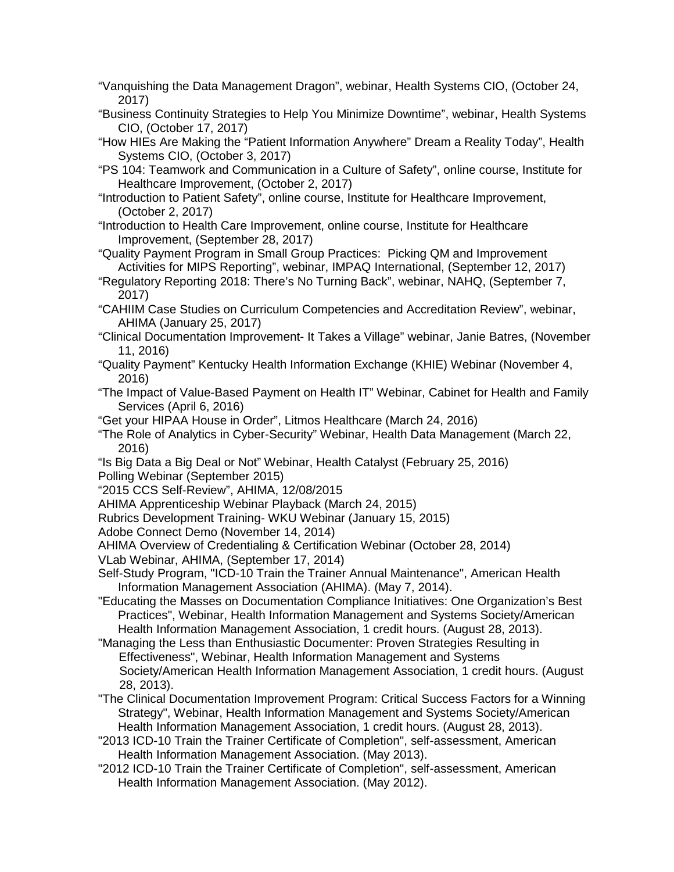- "Vanquishing the Data Management Dragon", webinar, Health Systems CIO, (October 24, 2017)
- "Business Continuity Strategies to Help You Minimize Downtime", webinar, Health Systems CIO, (October 17, 2017)
- "How HIEs Are Making the "Patient Information Anywhere" Dream a Reality Today", Health Systems CIO, (October 3, 2017)
- "PS 104: Teamwork and Communication in a Culture of Safety", online course, Institute for Healthcare Improvement, (October 2, 2017)
- "Introduction to Patient Safety", online course, Institute for Healthcare Improvement, (October 2, 2017)
- "Introduction to Health Care Improvement, online course, Institute for Healthcare Improvement, (September 28, 2017)
- "Quality Payment Program in Small Group Practices: Picking QM and Improvement Activities for MIPS Reporting", webinar, IMPAQ International, (September 12, 2017)
- "Regulatory Reporting 2018: There's No Turning Back", webinar, NAHQ, (September 7, 2017)
- "CAHIIM Case Studies on Curriculum Competencies and Accreditation Review", webinar, AHIMA (January 25, 2017)
- "Clinical Documentation Improvement- It Takes a Village" webinar, Janie Batres, (November 11, 2016)
- "Quality Payment" Kentucky Health Information Exchange (KHIE) Webinar (November 4, 2016)
- "The Impact of Value-Based Payment on Health IT" Webinar, Cabinet for Health and Family Services (April 6, 2016)
- "Get your HIPAA House in Order", Litmos Healthcare (March 24, 2016)
- "The Role of Analytics in Cyber-Security" Webinar, Health Data Management (March 22, 2016)
- "Is Big Data a Big Deal or Not" Webinar, Health Catalyst (February 25, 2016) Polling Webinar (September 2015)
- "2015 CCS Self-Review", AHIMA, 12/08/2015
- AHIMA Apprenticeship Webinar Playback (March 24, 2015)
- Rubrics Development Training- WKU Webinar (January 15, 2015)
- Adobe Connect Demo (November 14, 2014)
- AHIMA Overview of Credentialing & Certification Webinar (October 28, 2014)
- VLab Webinar, AHIMA, (September 17, 2014)
- Self-Study Program, "ICD-10 Train the Trainer Annual Maintenance", American Health Information Management Association (AHIMA). (May 7, 2014).
- "Educating the Masses on Documentation Compliance Initiatives: One Organization's Best Practices", Webinar, Health Information Management and Systems Society/American Health Information Management Association, 1 credit hours. (August 28, 2013).
- "Managing the Less than Enthusiastic Documenter: Proven Strategies Resulting in Effectiveness", Webinar, Health Information Management and Systems Society/American Health Information Management Association, 1 credit hours. (August 28, 2013).
- "The Clinical Documentation Improvement Program: Critical Success Factors for a Winning Strategy", Webinar, Health Information Management and Systems Society/American Health Information Management Association, 1 credit hours. (August 28, 2013).
- "2013 ICD-10 Train the Trainer Certificate of Completion", self-assessment, American Health Information Management Association. (May 2013).
- "2012 ICD-10 Train the Trainer Certificate of Completion", self-assessment, American Health Information Management Association. (May 2012).